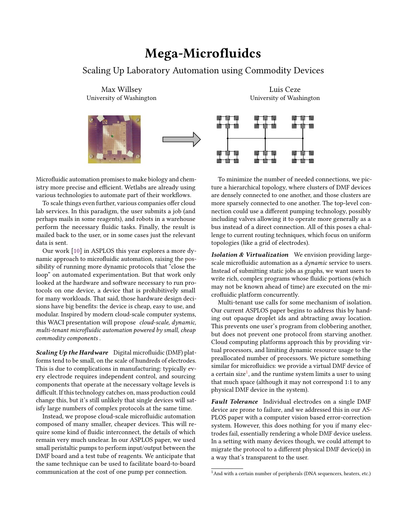## Mega-Microfluidcs

## Scaling Up Laboratory Automation using Commodity Devices

Max Willsey University of Washington



Microfluidic automation promises to make biology and chemistry more precise and efficient. Wetlabs are already using various technologies to automate part of their workflows.

To scale things even further, various companies offer cloud lab services. In this paradigm, the user submits a job (and perhaps mails in some reagents), and robots in a warehouse perform the necessary fluidic tasks. Finally, the result is mailed back to the user, or in some cases just the relevant data is sent.

Our work [\[10\]](#page-1-0) in ASPLOS this year explores a more dynamic approach to microfluidic automation, raising the possibility of running more dynamic protocols that "close the loop" on automated experimentation. But that work only looked at the hardware and software necessary to run protocols on one device, a device that is prohibitively small for many workloads. That said, those hardware design decisions have big benefits: the device is cheap, easy to use, and modular. Inspired by modern cloud-scale computer systems, this WACI presentation will propose cloud-scale, dynamic, multi-tenant microfluidic automation powered by small, cheap commodity components .

Scaling Up the Hardware Digital microfluidic (DMF) platforms tend to be small, on the scale of hundreds of electrodes. This is due to complications in manufacturing: typically every electrode requires independent control, and sourcing components that operate at the necessary voltage levels is difficult. If this technology catches on, mass production could change this, but it's still unlikely that single devices will satisfy large numbers of complex protocols at the same time.

Instead, we propose cloud-scale microfluidic automation composed of many smaller, cheaper devices. This will require some kind of fluidic interconnect, the details of which remain very much unclear. In our ASPLOS paper, we used small peristaltic pumps to perform input/output between the DMF board and a test tube of reagents. We anticipate that the same technique can be used to facilitate board-to-board communication at the cost of one pump per connection.

Luis Ceze University of Washington



To minimize the number of needed connections, we picture a hierarchical topology, where clusters of DMF devices are densely connected to one another, and those clusters are more sparsely connected to one another. The top-level connection could use a different pumping technology, possibly including valves allowing it to operate more generally as a bus instead of a direct connection. All of this poses a challenge to current routing techniques, which focus on uniform topologies (like a grid of electrodes).

Isolation & Virtualization We envision providing largescale microfluidic automation as a *dynamic* service to users. Instead of submitting static jobs as graphs, we want users to write rich, complex programs whose fluidic portions (which may not be known ahead of time) are executed on the microfluidic platform concurrently.

Multi-tenant use calls for some mechanism of isolation. Our current ASPLOS paper begins to address this by handing out opaque droplet ids and abtracting away location. This prevents one user's program from clobbering another, but does not prevent one protocol from starving another. Cloud computing platforms approach this by providing virtual processors, and limiting dynamic resource usage to the preallocated number of processors. We picture something similar for microfluidics: we provide a virtual DMF device of a certain size $^1$  $^1$ , and the runtime system limits a user to using that much space (although it may not correspond 1:1 to any physical DMF device in the system).

Fault Tolerance Individual electrodes on a single DMF device are prone to failure, and we addressed this in our AS-PLOS paper with a computer vision based error-correction system. However, this does nothing for you if many electrodes fail, essentially rendering a whole DMF device useless. In a setting with many devices though, we could attempt to migrate the protocol to a different physical DMF device(s) in a way that's transparent to the user.

<span id="page-0-0"></span><sup>&</sup>lt;sup>1</sup> And with a certain number of peripherals (DNA sequencers, heaters, etc.)